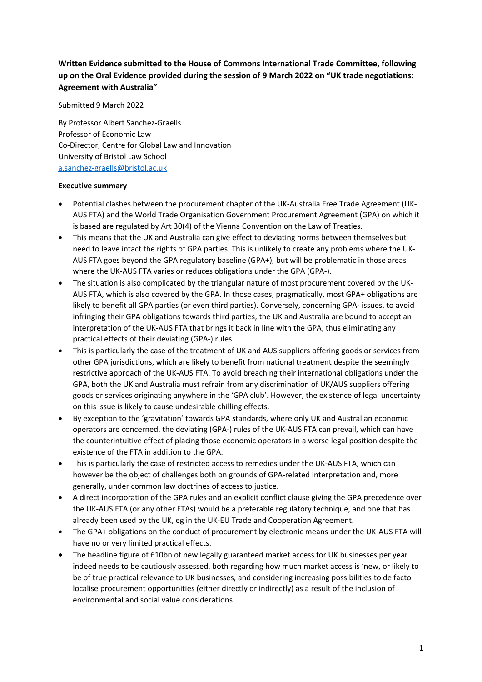# **Written Evidence submitted to the House of Commons International Trade Committee, following up on the Oral Evidence provided during the session of 9 March 2022 on "UK trade negotiations: Agreement with Australia"**

Submitted 9 March 2022

By Professor Albert Sanchez-Graells Professor of Economic Law Co-Director, Centre for Global Law and Innovation University of Bristol Law School [a.sanchez-graells@bristol.ac.uk](mailto:a.sanchez-graells@bristol.ac.uk)

#### **Executive summary**

- Potential clashes between the procurement chapter of the UK-Australia Free Trade Agreement (UK-AUS FTA) and the World Trade Organisation Government Procurement Agreement (GPA) on which it is based are regulated by Art 30(4) of the Vienna Convention on the Law of Treaties.
- This means that the UK and Australia can give effect to deviating norms between themselves but need to leave intact the rights of GPA parties. This is unlikely to create any problems where the UK-AUS FTA goes beyond the GPA regulatory baseline (GPA+), but will be problematic in those areas where the UK-AUS FTA varies or reduces obligations under the GPA (GPA-).
- The situation is also complicated by the triangular nature of most procurement covered by the UK-AUS FTA, which is also covered by the GPA. In those cases, pragmatically, most GPA+ obligations are likely to benefit all GPA parties (or even third parties). Conversely, concerning GPA- issues, to avoid infringing their GPA obligations towards third parties, the UK and Australia are bound to accept an interpretation of the UK-AUS FTA that brings it back in line with the GPA, thus eliminating any practical effects of their deviating (GPA-) rules.
- This is particularly the case of the treatment of UK and AUS suppliers offering goods or services from other GPA jurisdictions, which are likely to benefit from national treatment despite the seemingly restrictive approach of the UK-AUS FTA. To avoid breaching their international obligations under the GPA, both the UK and Australia must refrain from any discrimination of UK/AUS suppliers offering goods or services originating anywhere in the 'GPA club'. However, the existence of legal uncertainty on this issue is likely to cause undesirable chilling effects.
- By exception to the 'gravitation' towards GPA standards, where only UK and Australian economic operators are concerned, the deviating (GPA-) rules of the UK-AUS FTA can prevail, which can have the counterintuitive effect of placing those economic operators in a worse legal position despite the existence of the FTA in addition to the GPA.
- This is particularly the case of restricted access to remedies under the UK-AUS FTA, which can however be the object of challenges both on grounds of GPA-related interpretation and, more generally, under common law doctrines of access to justice.
- A direct incorporation of the GPA rules and an explicit conflict clause giving the GPA precedence over the UK-AUS FTA (or any other FTAs) would be a preferable regulatory technique, and one that has already been used by the UK, eg in the UK-EU Trade and Cooperation Agreement.
- The GPA+ obligations on the conduct of procurement by electronic means under the UK-AUS FTA will have no or very limited practical effects.
- The headline figure of £10bn of new legally guaranteed market access for UK businesses per year indeed needs to be cautiously assessed, both regarding how much market access is 'new, or likely to be of true practical relevance to UK businesses, and considering increasing possibilities to de facto localise procurement opportunities (either directly or indirectly) as a result of the inclusion of environmental and social value considerations.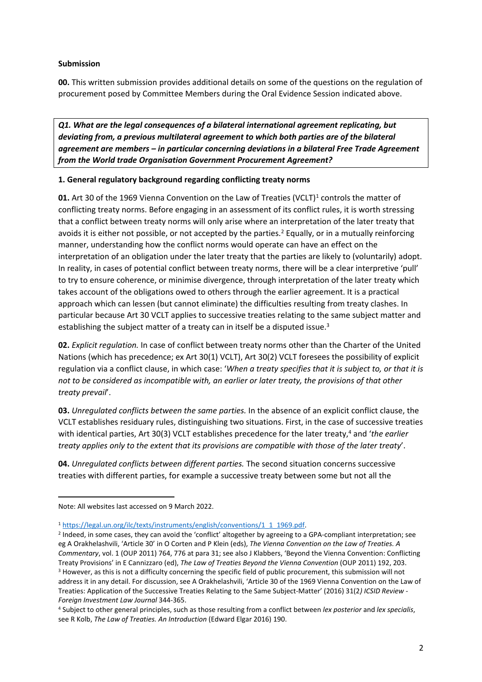## **Submission**

**00.** This written submission provides additional details on some of the questions on the regulation of procurement posed by Committee Members during the Oral Evidence Session indicated above.

*Q1. What are the legal consequences of a bilateral international agreement replicating, but deviating from, a previous multilateral agreement to which both parties are of the bilateral agreement are members – in particular concerning deviations in a bilateral Free Trade Agreement from the World trade Organisation Government Procurement Agreement?*

### **1. General regulatory background regarding conflicting treaty norms**

**01.** Art 30 of the 1969 Vienna Convention on the Law of Treaties (VCLT)<sup>1</sup> controls the matter of conflicting treaty norms. Before engaging in an assessment of its conflict rules, it is worth stressing that a conflict between treaty norms will only arise where an interpretation of the later treaty that avoids it is either not possible, or not accepted by the parties.<sup>2</sup> Equally, or in a mutually reinforcing manner, understanding how the conflict norms would operate can have an effect on the interpretation of an obligation under the later treaty that the parties are likely to (voluntarily) adopt. In reality, in cases of potential conflict between treaty norms, there will be a clear interpretive 'pull' to try to ensure coherence, or minimise divergence, through interpretation of the later treaty which takes account of the obligations owed to others through the earlier agreement. It is a practical approach which can lessen (but cannot eliminate) the difficulties resulting from treaty clashes. In particular because Art 30 VCLT applies to successive treaties relating to the same subject matter and establishing the subject matter of a treaty can in itself be a disputed issue.<sup>3</sup>

**02.** *Explicit regulation.* In case of conflict between treaty norms other than the Charter of the United Nations (which has precedence; ex Art 30(1) VCLT), Art 30(2) VCLT foresees the possibility of explicit regulation via a conflict clause, in which case: '*When a treaty specifies that it is subject to, or that it is not to be considered as incompatible with, an earlier or later treaty, the provisions of that other treaty prevail*'.

**03.** *Unregulated conflicts between the same parties.* In the absence of an explicit conflict clause, the VCLT establishes residuary rules, distinguishing two situations. First, in the case of successive treaties with identical parties, Art 30(3) VCLT establishes precedence for the later treaty,<sup>4</sup> and '*the earlier treaty applies only to the extent that its provisions are compatible with those of the later treaty*'.

**04.** *Unregulated conflicts between different parties.* The second situation concerns successive treaties with different parties, for example a successive treaty between some but not all the

Note: All websites last accessed on 9 March 2022.

<sup>1</sup> [https://legal.un.org/ilc/texts/instruments/english/conventions/1\\_1\\_1969.pdf.](https://legal.un.org/ilc/texts/instruments/english/conventions/1_1_1969.pdf)

<sup>&</sup>lt;sup>2</sup> Indeed, in some cases, they can avoid the 'conflict' altogether by agreeing to a GPA-compliant interpretation; see eg A Orakhelashvili, 'Article 30' in O Corten and P Klein (eds), *The Vienna Convention on the Law of Treaties. A Commentary*, vol. 1 (OUP 2011) 764, 776 at para 31; see also J Klabbers, 'Beyond the Vienna Convention: Conflicting Treaty Provisions' in E Cannizzaro (ed), *The Law of Treaties Beyond the Vienna Convention* (OUP 2011) 192, 203. <sup>3</sup> However, as this is not a difficulty concerning the specific field of public procurement, this submission will not address it in any detail. For discussion, see A Orakhelashvili, 'Article 30 of the 1969 Vienna Convention on the Law of Treaties: Application of the Successive Treaties Relating to the Same Subject-Matter' (2016) 31(2*) ICSID Review - Foreign Investment Law Journal* 344-365.

<sup>4</sup> Subject to other general principles, such as those resulting from a conflict between *lex posterior* and *lex specialis*, see R Kolb, *The Law of Treaties. An Introduction* (Edward Elgar 2016) 190.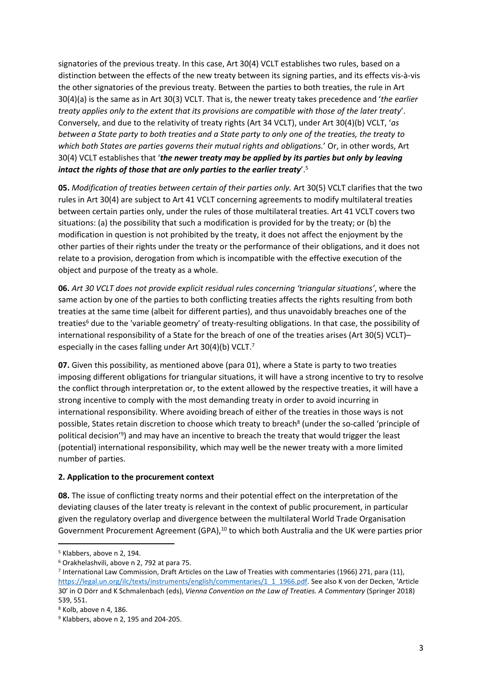signatories of the previous treaty. In this case, Art 30(4) VCLT establishes two rules, based on a distinction between the effects of the new treaty between its signing parties, and its effects vis-à-vis the other signatories of the previous treaty. Between the parties to both treaties, the rule in Art 30(4)(a) is the same as in Art 30(3) VCLT. That is, the newer treaty takes precedence and '*the earlier treaty applies only to the extent that its provisions are compatible with those of the later treaty*'. Conversely, and due to the relativity of treaty rights (Art 34 VCLT), under Art 30(4)(b) VCLT, '*as* between a State party to both treaties and a State party to only one of the treaties, the treaty to *which both States are parties governs their mutual rights and obligations.*' Or, in other words, Art 30(4) VCLT establishes that '*the newer treaty may be applied by its parties but only by leaving intact the rights of those that are only parties to the earlier treaty*'.<sup>5</sup>

**05.** *Modification of treaties between certain of their parties only.* Art 30(5) VCLT clarifies that the two rules in Art 30(4) are subject to Art 41 VCLT concerning agreements to modify multilateral treaties between certain parties only, under the rules of those multilateral treaties. Art 41 VCLT covers two situations: (a) the possibility that such a modification is provided for by the treaty; or (b) the modification in question is not prohibited by the treaty, it does not affect the enjoyment by the other parties of their rights under the treaty or the performance of their obligations, and it does not relate to a provision, derogation from which is incompatible with the effective execution of the object and purpose of the treaty as a whole.

**06.** *Art 30 VCLT does not provide explicit residual rules concerning 'triangular situations'*, where the same action by one of the parties to both conflicting treaties affects the rights resulting from both treaties at the same time (albeit for different parties), and thus unavoidably breaches one of the treaties<sup>6</sup> due to the 'variable geometry' of treaty-resulting obligations. In that case, the possibility of international responsibility of a State for the breach of one of the treaties arises (Art 30(5) VCLT)– especially in the cases falling under Art 30(4)(b) VCLT.<sup>7</sup>

**07.** Given this possibility, as mentioned above (para 01), where a State is party to two treaties imposing different obligations for triangular situations, it will have a strong incentive to try to resolve the conflict through interpretation or, to the extent allowed by the respective treaties, it will have a strong incentive to comply with the most demanding treaty in order to avoid incurring in international responsibility. Where avoiding breach of either of the treaties in those ways is not possible, States retain discretion to choose which treaty to breach<sup>8</sup> (under the so-called 'principle of political decision<sup>'9</sup>) and may have an incentive to breach the treaty that would trigger the least (potential) international responsibility, which may well be the newer treaty with a more limited number of parties.

#### **2. Application to the procurement context**

**08.** The issue of conflicting treaty norms and their potential effect on the interpretation of the deviating clauses of the later treaty is relevant in the context of public procurement, in particular given the regulatory overlap and divergence between the multilateral World Trade Organisation Government Procurement Agreement (GPA),<sup>10</sup> to which both Australia and the UK were parties prior

<sup>5</sup> Klabbers, above n 2, 194.

<sup>6</sup> Orakhelashvili, above n 2, 792 at para 75.

<sup>7</sup> International Law Commission, Draft Articles on the Law of Treaties with commentaries (1966) 271, para (11), [https://legal.un.org/ilc/texts/instruments/english/commentaries/1\\_1\\_1966.pdf.](https://legal.un.org/ilc/texts/instruments/english/commentaries/1_1_1966.pdf) See also K von der Decken, 'Article 30' in O Dörr and K Schmalenbach (eds), *Vienna Convention on the Law of Treaties. A Commentary* (Springer 2018) 539, 551.

<sup>8</sup> Kolb, above n 4, 186.

 $9$  Klabbers, above n 2, 195 and 204-205.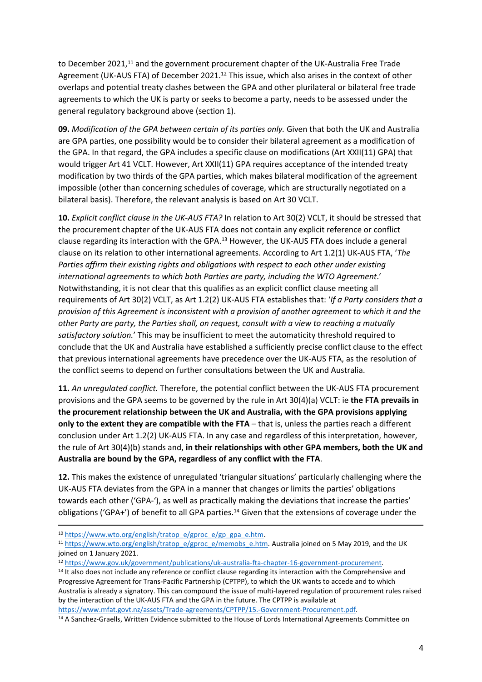to December 2021,<sup>11</sup> and the government procurement chapter of the UK-Australia Free Trade Agreement (UK-AUS FTA) of December 2021.<sup>12</sup> This issue, which also arises in the context of other overlaps and potential treaty clashes between the GPA and other plurilateral or bilateral free trade agreements to which the UK is party or seeks to become a party, needs to be assessed under the general regulatory background above (section 1).

**09.** *Modification of the GPA between certain of its parties only.* Given that both the UK and Australia are GPA parties, one possibility would be to consider their bilateral agreement as a modification of the GPA. In that regard, the GPA includes a specific clause on modifications (Art XXII(11) GPA) that would trigger Art 41 VCLT. However, Art XXII(11) GPA requires acceptance of the intended treaty modification by two thirds of the GPA parties, which makes bilateral modification of the agreement impossible (other than concerning schedules of coverage, which are structurally negotiated on a bilateral basis). Therefore, the relevant analysis is based on Art 30 VCLT.

**10.** *Explicit conflict clause in the UK-AUS FTA?* In relation to Art 30(2) VCLT, it should be stressed that the procurement chapter of the UK-AUS FTA does not contain any explicit reference or conflict clause regarding its interaction with the GPA. $<sup>13</sup>$  However, the UK-AUS FTA does include a general</sup> clause on its relation to other international agreements. According to Art 1.2(1) UK-AUS FTA, '*The Parties affirm their existing rights and obligations with respect to each other under existing international agreements to which both Parties are party, including the WTO Agreement*.' Notwithstanding, it is not clear that this qualifies as an explicit conflict clause meeting all requirements of Art 30(2) VCLT, as Art 1.2(2) UK-AUS FTA establishes that: '*If a Party considers that a provision of this Agreement is inconsistent with a provision of another agreement to which it and the other Party are party, the Parties shall, on request, consult with a view to reaching a mutually satisfactory solution.*' This may be insufficient to meet the automaticity threshold required to conclude that the UK and Australia have established a sufficiently precise conflict clause to the effect that previous international agreements have precedence over the UK-AUS FTA, as the resolution of the conflict seems to depend on further consultations between the UK and Australia.

**11.** *An unregulated conflict.* Therefore, the potential conflict between the UK-AUS FTA procurement provisions and the GPA seems to be governed by the rule in Art 30(4)(a) VCLT: ie **the FTA prevails in the procurement relationship between the UK and Australia, with the GPA provisions applying only to the extent they are compatible with the FTA** – that is, unless the parties reach a different conclusion under Art 1.2(2) UK-AUS FTA. In any case and regardless of this interpretation, however, the rule of Art 30(4)(b) stands and, **in their relationships with other GPA members, both the UK and Australia are bound by the GPA, regardless of any conflict with the FTA**.

**12.** This makes the existence of unregulated 'triangular situations' particularly challenging where the UK-AUS FTA deviates from the GPA in a manner that changes or limits the parties' obligations towards each other ('GPA-'), as well as practically making the deviations that increase the parties' obligations ('GPA+') of benefit to all GPA parties.<sup>14</sup> Given that the extensions of coverage under the

<sup>10</sup> [https://www.wto.org/english/tratop\\_e/gproc\\_e/gp\\_gpa\\_e.htm.](https://www.wto.org/english/tratop_e/gproc_e/gp_gpa_e.htm)

<sup>&</sup>lt;sup>11</sup> [https://www.wto.org/english/tratop\\_e/gproc\\_e/memobs\\_e.htm.](https://www.wto.org/english/tratop_e/gproc_e/memobs_e.htm) Australia joined on 5 May 2019, and the UK joined on 1 January 2021.

<sup>12</sup> [https://www.gov.uk/government/publications/uk-australia-fta-chapter-16-government-procurement.](https://www.gov.uk/government/publications/uk-australia-fta-chapter-16-government-procurement)

<sup>&</sup>lt;sup>13</sup> It also does not include any reference or conflict clause regarding its interaction with the Comprehensive and Progressive Agreement for Trans-Pacific Partnership (CPTPP), to which the UK wants to accede and to which Australia is already a signatory. This can compound the issue of multi-layered regulation of procurement rules raised by the interaction of the UK-AUS FTA and the GPA in the future. The CPTPP is available at

[https://www.mfat.govt.nz/assets/Trade-agreements/CPTPP/15.-Government-Procurement.pdf.](https://www.mfat.govt.nz/assets/Trade-agreements/CPTPP/15.-Government-Procurement.pdf)

<sup>&</sup>lt;sup>14</sup> A Sanchez-Graells, Written Evidence submitted to the House of Lords International Agreements Committee on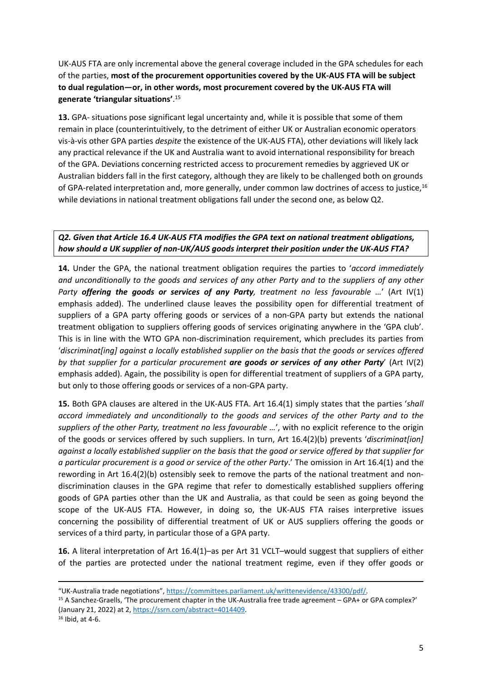UK-AUS FTA are only incremental above the general coverage included in the GPA schedules for each of the parties, **most of the procurement opportunities covered by the UK-AUS FTA will be subject to dual regulation—or, in other words, most procurement covered by the UK-AUS FTA will generate 'triangular situations'**. 15

**13.** GPA- situations pose significant legal uncertainty and, while it is possible that some of them remain in place (counterintuitively, to the detriment of either UK or Australian economic operators vis-à-vis other GPA parties *despite* the existence of the UK-AUS FTA), other deviations will likely lack any practical relevance if the UK and Australia want to avoid international responsibility for breach of the GPA. Deviations concerning restricted access to procurement remedies by aggrieved UK or Australian bidders fall in the first category, although they are likely to be challenged both on grounds of GPA-related interpretation and, more generally, under common law doctrines of access to justice,<sup>16</sup> while deviations in national treatment obligations fall under the second one, as below Q2.

# *Q2. Given that Article 16.4 UK-AUS FTA modifies the GPA text on national treatment obligations, how should a UK supplier of non-UK/AUS goods interpret their position under the UK-AUS FTA?*

**14.** Under the GPA, the national treatment obligation requires the parties to '*accord immediately and unconditionally to the goods and services of any other Party and to the suppliers of any other Party offering the goods or services of any Party, treatment no less favourable …*' (Art IV(1) emphasis added). The underlined clause leaves the possibility open for differential treatment of suppliers of a GPA party offering goods or services of a non-GPA party but extends the national treatment obligation to suppliers offering goods of services originating anywhere in the 'GPA club'. This is in line with the WTO GPA non-discrimination requirement, which precludes its parties from '*discriminat[ing] against a locally established supplier on the basis that the goods or services offered by that supplier for a particular procurement are goods or services of any other Party*' (Art IV(2) emphasis added). Again, the possibility is open for differential treatment of suppliers of a GPA party, but only to those offering goods or services of a non-GPA party.

**15.** Both GPA clauses are altered in the UK-AUS FTA. Art 16.4(1) simply states that the parties '*shall accord immediately and unconditionally to the goods and services of the other Party and to the suppliers of the other Party, treatment no less favourable …*', with no explicit reference to the origin of the goods or services offered by such suppliers. In turn, Art 16.4(2)(b) prevents '*discriminat[ion]* against a locally established supplier on the basis that the good or service offered by that supplier for *a particular procurement is a good or service of the other Party*.' The omission in Art 16.4(1) and the rewording in Art 16.4(2)(b) ostensibly seek to remove the parts of the national treatment and nondiscrimination clauses in the GPA regime that refer to domestically established suppliers offering goods of GPA parties other than the UK and Australia, as that could be seen as going beyond the scope of the UK-AUS FTA. However, in doing so, the UK-AUS FTA raises interpretive issues concerning the possibility of differential treatment of UK or AUS suppliers offering the goods or services of a third party, in particular those of a GPA party.

**16.** A literal interpretation of Art 16.4(1)–as per Art 31 VCLT–would suggest that suppliers of either of the parties are protected under the national treatment regime, even if they offer goods or

<sup>&</sup>quot;UK-Australia trade negotiations", [https://committees.parliament.uk/writtenevidence/43300/pdf/.](https://committees.parliament.uk/writtenevidence/43300/pdf/)

<sup>15</sup> A Sanchez-Graells, 'The procurement chapter in the UK-Australia free trade agreement – GPA+ or GPA complex?' (January 21, 2022) at 2, [https://ssrn.com/abstract=4014409.](https://ssrn.com/abstract=4014409)

<sup>16</sup> Ibid, at 4-6.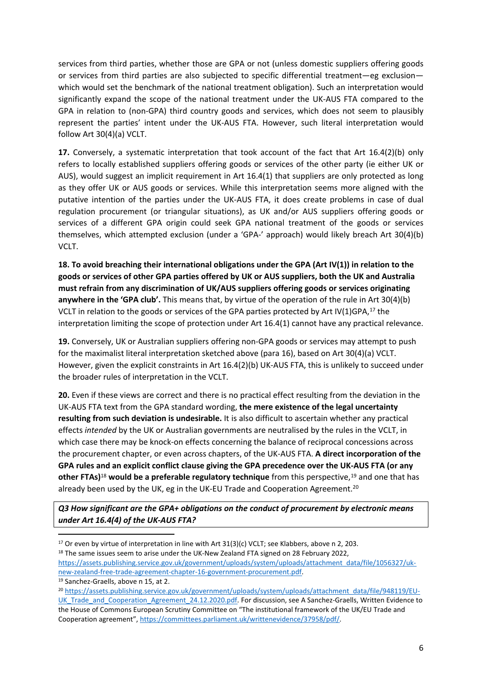services from third parties, whether those are GPA or not (unless domestic suppliers offering goods or services from third parties are also subjected to specific differential treatment—eg exclusion which would set the benchmark of the national treatment obligation). Such an interpretation would significantly expand the scope of the national treatment under the UK-AUS FTA compared to the GPA in relation to (non-GPA) third country goods and services, which does not seem to plausibly represent the parties' intent under the UK-AUS FTA. However, such literal interpretation would follow Art 30(4)(a) VCLT.

**17.** Conversely, a systematic interpretation that took account of the fact that Art 16.4(2)(b) only refers to locally established suppliers offering goods or services of the other party (ie either UK or AUS), would suggest an implicit requirement in Art 16.4(1) that suppliers are only protected as long as they offer UK or AUS goods or services. While this interpretation seems more aligned with the putative intention of the parties under the UK-AUS FTA, it does create problems in case of dual regulation procurement (or triangular situations), as UK and/or AUS suppliers offering goods or services of a different GPA origin could seek GPA national treatment of the goods or services themselves, which attempted exclusion (under a 'GPA-' approach) would likely breach Art 30(4)(b) VCLT.

**18. To avoid breaching their international obligations under the GPA (Art IV(1)) in relation to the goods or services of other GPA parties offered by UK or AUS suppliers, both the UK and Australia must refrain from any discrimination of UK/AUS suppliers offering goods or services originating anywhere in the 'GPA club'.** This means that, by virtue of the operation of the rule in Art 30(4)(b) VCLT in relation to the goods or services of the GPA parties protected by Art IV(1)GPA, $^{17}$  the interpretation limiting the scope of protection under Art 16.4(1) cannot have any practical relevance.

**19.** Conversely, UK or Australian suppliers offering non-GPA goods or services may attempt to push for the maximalist literal interpretation sketched above (para 16), based on Art 30(4)(a) VCLT. However, given the explicit constraints in Art 16.4(2)(b) UK-AUS FTA, this is unlikely to succeed under the broader rules of interpretation in the VCLT.

**20.** Even if these views are correct and there is no practical effect resulting from the deviation in the UK-AUS FTA text from the GPA standard wording, **the mere existence of the legal uncertainty resulting from such deviation is undesirable.** It is also difficult to ascertain whether any practical effects *intended* by the UK or Australian governments are neutralised by the rules in the VCLT, in which case there may be knock-on effects concerning the balance of reciprocal concessions across the procurement chapter, or even across chapters, of the UK-AUS FTA. **A direct incorporation of the GPA rules and an explicit conflict clause giving the GPA precedence over the UK-AUS FTA (or any other FTAs)**<sup>18</sup> **would be a preferable regulatory technique** from this perspective,<sup>19</sup> and one that has already been used by the UK, eg in the UK-EU Trade and Cooperation Agreement.<sup>20</sup>

*Q3 How significant are the GPA+ obligations on the conduct of procurement by electronic means under Art 16.4(4) of the UK-AUS FTA?*

 $17$  Or even by virtue of interpretation in line with Art 31(3)(c) VCLT; see Klabbers, above n 2, 203.

<sup>&</sup>lt;sup>18</sup> The same issues seem to arise under the UK-New Zealand FTA signed on 28 February 2022,

[https://assets.publishing.service.gov.uk/government/uploads/system/uploads/attachment\\_data/file/1056327/uk](https://assets.publishing.service.gov.uk/government/uploads/system/uploads/attachment_data/file/1056327/uk-new-zealand-free-trade-agreement-chapter-16-government-procurement.pdf)[new-zealand-free-trade-agreement-chapter-16-government-procurement.pdf.](https://assets.publishing.service.gov.uk/government/uploads/system/uploads/attachment_data/file/1056327/uk-new-zealand-free-trade-agreement-chapter-16-government-procurement.pdf)

<sup>19</sup> Sanchez-Graells, above n 15, at 2.

<sup>20</sup> [https://assets.publishing.service.gov.uk/government/uploads/system/uploads/attachment\\_data/file/948119/EU-](https://assets.publishing.service.gov.uk/government/uploads/system/uploads/attachment_data/file/948119/EU-UK_Trade_and_Cooperation_Agreement_24.12.2020.pdf)[UK\\_Trade\\_and\\_Cooperation\\_Agreement\\_24.12.2020.pdf](https://assets.publishing.service.gov.uk/government/uploads/system/uploads/attachment_data/file/948119/EU-UK_Trade_and_Cooperation_Agreement_24.12.2020.pdf). For discussion, see A Sanchez-Graells, Written Evidence to the House of Commons European Scrutiny Committee on "The institutional framework of the UK/EU Trade and Cooperation agreement", [https://committees.parliament.uk/writtenevidence/37958/pdf/.](https://committees.parliament.uk/writtenevidence/37958/pdf/)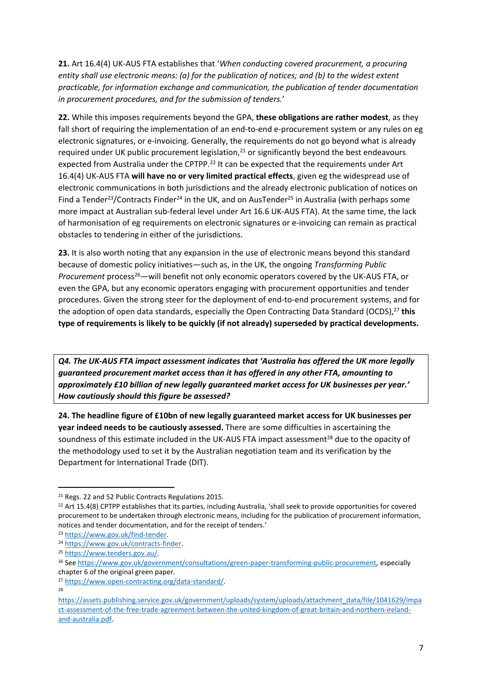**21.** Art 16.4(4) UK-AUS FTA establishes that '*When conducting covered procurement, a procuring entity shall use electronic means: (a) for the publication of notices; and (b) to the widest extent practicable, for information exchange and communication, the publication of tender documentation in procurement procedures, and for the submission of tenders.*'

**22.** While this imposes requirements beyond the GPA, **these obligations are rather modest**, as they fall short of requiring the implementation of an end-to-end e-procurement system or any rules on eg electronic signatures, or e-invoicing. Generally, the requirements do not go beyond what is already required under UK public procurement legislation, $2<sup>1</sup>$  or significantly beyond the best endeavours expected from Australia under the CPTPP.<sup>22</sup> It can be expected that the requirements under Art 16.4(4) UK-AUS FTA **will have no or very limited practical effects**, given eg the widespread use of electronic communications in both jurisdictions and the already electronic publication of notices on Find a Tender<sup>23</sup>/Contracts Finder<sup>24</sup> in the UK, and on AusTender<sup>25</sup> in Australia (with perhaps some more impact at Australian sub-federal level under Art 16.6 UK-AUS FTA). At the same time, the lack of harmonisation of eg requirements on electronic signatures or e-invoicing can remain as practical obstacles to tendering in either of the jurisdictions.

**23.** It is also worth noting that any expansion in the use of electronic means beyond this standard because of domestic policy initiatives—such as, in the UK, the ongoing *Transforming Public Procurement* process<sup>26</sup>—will benefit not only economic operators covered by the UK-AUS FTA, or even the GPA, but any economic operators engaging with procurement opportunities and tender procedures. Given the strong steer for the deployment of end-to-end procurement systems, and for the adoption of open data standards, especially the Open Contracting Data Standard (OCDS),<sup>27</sup> this **type of requirements is likely to be quickly (if not already) superseded by practical developments.**

*Q4. The UK-AUS FTA impact assessment indicates that 'Australia has offered the UK more legally guaranteed procurement market access than it has offered in any other FTA, amounting to approximately £10 billion of new legally guaranteed market access for UK businesses per year.' How cautiously should this figure be assessed?*

**24. The headline figure of £10bn of new legally guaranteed market access for UK businesses per year indeed needs to be cautiously assessed.** There are some difficulties in ascertaining the soundness of this estimate included in the UK-AUS FTA impact assessment<sup>28</sup> due to the opacity of the methodology used to set it by the Australian negotiation team and its verification by the Department for International Trade (DIT).

<sup>21</sup> Regs. 22 and 52 Public Contracts Regulations 2015.

 $22$  Art 15.4(8) CPTPP establishes that its parties, including Australia, 'shall seek to provide opportunities for covered procurement to be undertaken through electronic means, including for the publication of procurement information, notices and tender documentation, and for the receipt of tenders.'

<sup>23</sup> [https://www.gov.uk/find-tender.](https://www.gov.uk/find-tender)

<sup>24</sup> [https://www.gov.uk/contracts-finder.](https://www.gov.uk/contracts-finder)

<sup>25</sup> <https://www.tenders.gov.au/>.

<sup>&</sup>lt;sup>26</sup> See [https://www.gov.uk/government/consultations/green-paper-transforming-public-procurement,](https://www.gov.uk/government/consultations/green-paper-transforming-public-procurement) especially chapter 6 of the original green paper.

<sup>27</sup> <https://www.open-contracting.org/data-standard/>. 28

[https://assets.publishing.service.gov.uk/government/uploads/system/uploads/attachment\\_data/file/1041629/impa](https://assets.publishing.service.gov.uk/government/uploads/system/uploads/attachment_data/file/1041629/impact-assessment-of-the-free-trade-agreement-between-the-united-kingdom-of-great-britain-and-northern-ireland-and-australia.pdf) [ct-assessment-of-the-free-trade-agreement-between-the-united-kingdom-of-great-britain-and-northern-ireland](https://assets.publishing.service.gov.uk/government/uploads/system/uploads/attachment_data/file/1041629/impact-assessment-of-the-free-trade-agreement-between-the-united-kingdom-of-great-britain-and-northern-ireland-and-australia.pdf)[and-australia.pdf.](https://assets.publishing.service.gov.uk/government/uploads/system/uploads/attachment_data/file/1041629/impact-assessment-of-the-free-trade-agreement-between-the-united-kingdom-of-great-britain-and-northern-ireland-and-australia.pdf)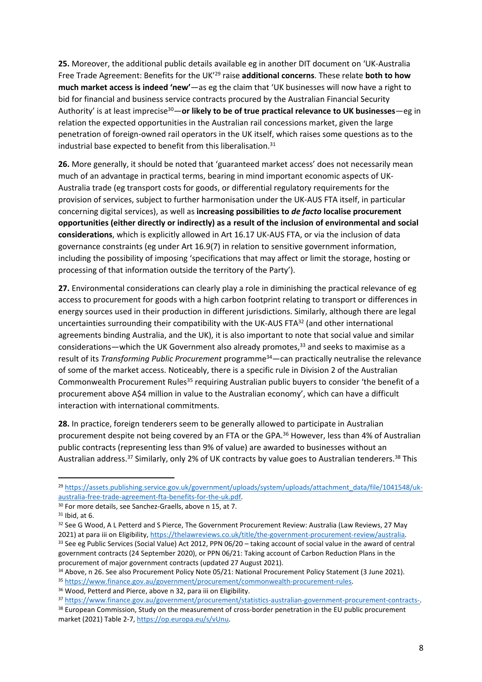**25.** Moreover, the additional public details available eg in another DIT document on 'UK-Australia Free Trade Agreement: Benefits for the UK'<sup>29</sup> raise **additional concerns**. These relate **both to how much market access is indeed 'new'**—as eg the claim that 'UK businesses will now have a right to bid for financial and business service contracts procured by the Australian Financial Security Authority' is at least imprecise<sup>30</sup>—**or likely to be of true practical relevance to UK businesses**—eg in relation the expected opportunities in the Australian rail concessions market, given the large penetration of foreign-owned rail operators in the UK itself, which raises some questions as to the industrial base expected to benefit from this liberalisation.<sup>31</sup>

**26.** More generally, it should be noted that 'guaranteed market access' does not necessarily mean much of an advantage in practical terms, bearing in mind important economic aspects of UK-Australia trade (eg transport costs for goods, or differential regulatory requirements for the provision of services, subject to further harmonisation under the UK-AUS FTA itself, in particular concerning digital services), as well as **increasing possibilities to** *de facto* **localise procurement opportunities (either directly or indirectly) as a result of the inclusion of environmental and social considerations**, which is explicitly allowed in Art 16.17 UK-AUS FTA, or via the inclusion of data governance constraints (eg under Art 16.9(7) in relation to sensitive government information, including the possibility of imposing 'specifications that may affect or limit the storage, hosting or processing of that information outside the territory of the Party').

**27.** Environmental considerations can clearly play a role in diminishing the practical relevance of eg access to procurement for goods with a high carbon footprint relating to transport or differences in energy sources used in their production in different jurisdictions. Similarly, although there are legal uncertainties surrounding their compatibility with the UK-AUS FTA<sup>32</sup> (and other international agreements binding Australia, and the UK), it is also important to note that social value and similar considerations—which the UK Government also already promotes,<sup>33</sup> and seeks to maximise as a result of its *Transforming Public Procurement* programme<sup>34</sup>—can practically neutralise the relevance of some of the market access. Noticeably, there is a specific rule in Division 2 of the Australian Commonwealth Procurement Rules<sup>35</sup> requiring Australian public buyers to consider 'the benefit of a procurement above A\$4 million in value to the Australian economy', which can have a difficult interaction with international commitments.

**28.** In practice, foreign tenderers seem to be generally allowed to participate in Australian procurement despite not being covered by an FTA or the GPA.<sup>36</sup> However, less than 4% of Australian public contracts (representing less than 9% of value) are awarded to businesses without an Australian address.<sup>37</sup> Similarly, only 2% of UK contracts by value goes to Australian tenderers.<sup>38</sup> This

<sup>38</sup> European Commission, Study on the measurement of cross-border penetration in the EU public procurement market (2021) Table 2-7, [https://op.europa.eu/s/vUnu.](https://op.europa.eu/s/vUnu)

<sup>&</sup>lt;sup>29</sup> [https://assets.publishing.service.gov.uk/government/uploads/system/uploads/attachment\\_data/file/1041548/uk](https://assets.publishing.service.gov.uk/government/uploads/system/uploads/attachment_data/file/1041548/uk-australia-free-trade-agreement-fta-benefits-for-the-uk.pdf)[australia-free-trade-agreement-fta-benefits-for-the-uk.pdf.](https://assets.publishing.service.gov.uk/government/uploads/system/uploads/attachment_data/file/1041548/uk-australia-free-trade-agreement-fta-benefits-for-the-uk.pdf)

<sup>30</sup> For more details, see Sanchez-Graells, above n 15, at 7.

 $31$  Ibid, at 6.

<sup>&</sup>lt;sup>32</sup> See G Wood, A L Petterd and S Pierce, The Government Procurement Review: Australia (Law Reviews, 27 May 2021) at para iii on Eligibility, <https://thelawreviews.co.uk/title/the-government-procurement-review/australia>. 33 See eg Public Services (Social Value) Act 2012, PPN 06/20 - taking account of social value in the award of central government contracts (24 September 2020), or PPN 06/21: Taking account of Carbon Reduction Plans in the procurement of major government contracts (updated 27 August 2021).

<sup>34</sup> Above, n 26. See also Procurement Policy Note 05/21: National Procurement Policy Statement (3 June 2021).

<sup>35</sup> [https://www.finance.gov.au/government/procurement/commonwealth-procurement-rules.](https://www.finance.gov.au/government/procurement/commonwealth-procurement-rules)

<sup>36</sup> Wood, Petterd and Pierce, above n 32, para iii on Eligibility.

<sup>37</sup> [https://www.finance.gov.au/government/procurement/statistics-australian-government-procurement-contracts-.](https://www.finance.gov.au/government/procurement/statistics-australian-government-procurement-contracts-)